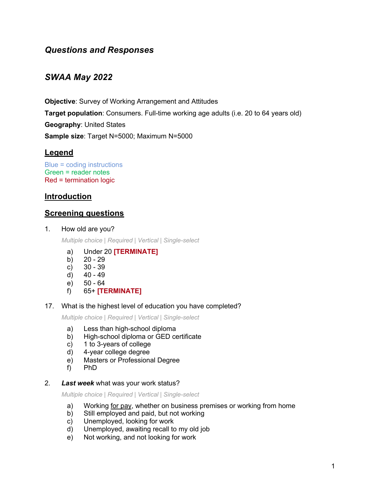# *Questions and Responses*

# *SWAA May 2022*

**Objective:** Survey of Working Arrangement and Attitudes **Target population**: Consumers. Full-time working age adults (i.e. 20 to 64 years old) **Geography**: United States **Sample size**: Target N=5000; Maximum N=5000

# **Legend**

```
Blue = coding instructions
Green = reader notes
Red = termination logic
```
# **Introduction**

## **Screening questions**

1. How old are you?

*Multiple choice | Required | Vertical | Single-select*

- a) Under 20 **[TERMINATE]**
- b) 20 29
- c) 30 39
- d) 40 49
- e) 50 64
- f) 65+ **[TERMINATE]**
- 17. What is the highest level of education you have completed?

*Multiple choice | Required | Vertical | Single-select*

- a) Less than high-school diploma
- b) High-school diploma or GED certificate
- c) 1 to 3-years of college
- d) 4-year college degree
- e) Masters or Professional Degree
- f) PhD
- 2. *Last week* what was your work status?

- a) Working for pay, whether on business premises or working from home
- b) Still employed and paid, but not working
- c) Unemployed, looking for work
- d) Unemployed, awaiting recall to my old job
- e) Not working, and not looking for work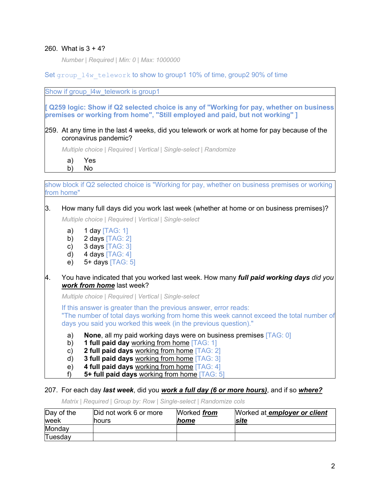### 260. What is 3 + 4?

*Number | Required | Min: 0 | Max: 1000000*

Set group 14w telework to show to group1 10% of time, group2 90% of time

Show if group 14w telework is group1

**[ Q259 logic: Show if Q2 selected choice is any of "Working for pay, whether on business premises or working from home", "Still employed and paid, but not working" ]**

259. At any time in the last 4 weeks, did you telework or work at home for pay because of the coronavirus pandemic?

*Multiple choice | Required | Vertical | Single-select | Randomize*

a) Yes b) No

show block if Q2 selected choice is "Working for pay, whether on business premises or working from home"

### 3. How many full days did you work last week (whether at home or on business premises)?

*Multiple choice | Required | Vertical | Single-select*

- a)  $1$  day  $[TAG: 1]$
- b)  $2 \text{ days}$  [TAG: 2]
- c)  $3 \text{ days}$  [TAG:  $3$ ]
- d)  $4 \text{ days}$  [TAG: 4]
- e) 5+ days [TAG: 5]
- 4. You have indicated that you worked last week. How many *full paid working days did you work from home* last week?

*Multiple choice | Required | Vertical | Single-select*

If this answer is greater than the previous answer, error reads: "The number of total days working from home this week cannot exceed the total number of days you said you worked this week (in the previous question)."

- a) **None**, all my paid working days were on business premises [TAG: 0]
- b) **1 full paid day** working from home [TAG: 1]
- c) **2 full paid days** working from home [TAG: 2]
- d) **3 full paid days** working from home [TAG: 3]
- e) **4 full paid days** working from home [TAG: 4]
- f) **5+ full paid days** working from home [TAG: 5]

### 207. For each day *last week*, did you *work a full day (6 or more hours)*, and if so *where?*

*Matrix | Required | Group by: Row | Single-select | Randomize cols*

| Day of the | Did not work 6 or more | Worked <i>from</i> | Worked at employer or client |
|------------|------------------------|--------------------|------------------------------|
| lweek      | <b>Inours</b>          | <b>home</b>        | <b>site</b>                  |
| Monday     |                        |                    |                              |
| Tuesday    |                        |                    |                              |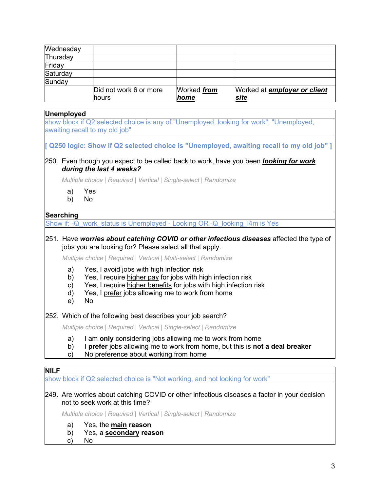| Wednesday |                        |                    |                                     |
|-----------|------------------------|--------------------|-------------------------------------|
| Thursday  |                        |                    |                                     |
| Friday    |                        |                    |                                     |
| Saturday  |                        |                    |                                     |
| Sunday    |                        |                    |                                     |
|           | Did not work 6 or more | Worked <i>from</i> | Worked at <b>employer or client</b> |
|           | lhours                 | home               | site                                |

# **Unemployed** show block if Q2 selected choice is any of "Unemployed, looking for work", "Unemployed, awaiting recall to my old job" **[ Q250 logic: Show if Q2 selected choice is "Unemployed, awaiting recall to my old job" ]** 250. Even though you expect to be called back to work, have you been *looking for work during the last 4 weeks? Multiple choice | Required | Vertical | Single-select | Randomize* a) Yes b) No **Searching** Show if: -Q\_work\_status is Unemployed - Looking OR -Q\_looking\_l4m is Yes 251. Have *worries about catching COVID or other infectious diseases* affected the type of jobs you are looking for? Please select all that apply. *Multiple choice | Required | Vertical | Multi-select | Randomize* a) Yes, I avoid jobs with high infection risk b) Yes, I require higher pay for jobs with high infection risk c) Yes, I require higher benefits for jobs with high infection risk d) Yes, I prefer jobs allowing me to work from home e) No 252. Which of the following best describes your job search? *Multiple choice | Required | Vertical | Single-select | Randomize* a) I am **only** considering jobs allowing me to work from home b) I **prefer** jobs allowing me to work from home, but this is **not a deal breaker** c) No preference about working from home **NILF** show block if Q2 selected choice is "Not working, and not looking for work"

### 249. Are worries about catching COVID or other infectious diseases a factor in your decision not to seek work at this time?

*Multiple choice | Required | Vertical | Single-select | Randomize*

- a) Yes, the **main reason**
- b) Yes, a **secondary reason**
- c) No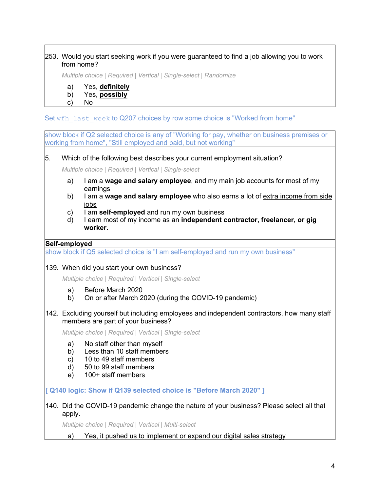### 253. Would you start seeking work if you were guaranteed to find a job allowing you to work from home?

*Multiple choice | Required | Vertical | Single-select | Randomize*

a) Yes, **definitely**

### b) Yes, **possibly**

c) No

Set wfh\_last\_week to Q207 choices by row some choice is "Worked from home"

show block if Q2 selected choice is any of "Working for pay, whether on business premises or working from home", "Still employed and paid, but not working"

5. Which of the following best describes your current employment situation?

*Multiple choice | Required | Vertical | Single-select*

- a) I am a **wage and salary employee**, and my main job accounts for most of my earnings
- b) I am a **wage and salary employee** who also earns a lot of extra income from side jobs
- c) I am **self-employed** and run my own business
- d) I earn most of my income as an **independent contractor, freelancer, or gig worker.**

### **Self-employed**

show block if Q5 selected choice is "I am self-employed and run my own business"

139. When did you start your own business?

*Multiple choice | Required | Vertical | Single-select*

- a) Before March 2020
- b) On or after March 2020 (during the COVID-19 pandemic)
- 142. Excluding yourself but including employees and independent contractors, how many staff members are part of your business?

*Multiple choice | Required | Vertical | Single-select*

- a) No staff other than myself
- b) Less than 10 staff members
- c) 10 to 49 staff members
- d) 50 to 99 staff members
- e) 100+ staff members

**[ Q140 logic: Show if Q139 selected choice is "Before March 2020" ]**

140. Did the COVID-19 pandemic change the nature of your business? Please select all that apply.

*Multiple choice | Required | Vertical | Multi-select*

a) Yes, it pushed us to implement or expand our digital sales strategy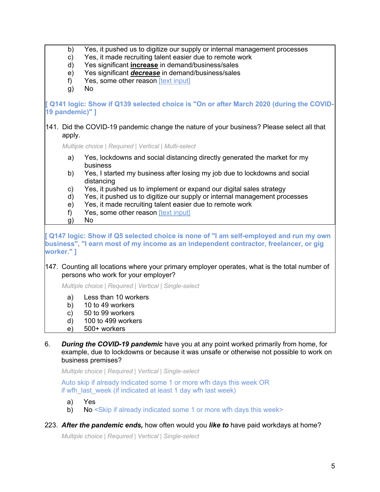|            | b)              | Yes, it pushed us to digitize our supply or internal management processes                                                                                                       |
|------------|-----------------|---------------------------------------------------------------------------------------------------------------------------------------------------------------------------------|
|            | C)              | Yes, it made recruiting talent easier due to remote work                                                                                                                        |
|            | d)              | Yes significant <i>increase</i> in demand/business/sales                                                                                                                        |
|            | e)              | Yes significant <i>decrease</i> in demand/business/sales                                                                                                                        |
|            | f)              | Yes, some other reason [text input]                                                                                                                                             |
|            | g)              | <b>No</b>                                                                                                                                                                       |
|            | 19 pandemic)" ] | [ Q141 logic: Show if Q139 selected choice is "On or after March 2020 (during the COVID                                                                                         |
|            | apply.          | 141. Did the COVID-19 pandemic change the nature of your business? Please select all that                                                                                       |
|            |                 | Multiple choice   Required   Vertical   Multi-select                                                                                                                            |
|            | a)              | Yes, lockdowns and social distancing directly generated the market for my<br>business                                                                                           |
|            | b)              | Yes, I started my business after losing my job due to lockdowns and social<br>distancing                                                                                        |
|            | C)<br>d)        | Yes, it pushed us to implement or expand our digital sales strategy<br>Yes, it pushed us to digitize our supply or internal management processes                                |
|            | e)              | Yes, it made recruiting talent easier due to remote work                                                                                                                        |
|            | f)              | Yes, some other reason [text input]                                                                                                                                             |
|            | g)              | No                                                                                                                                                                              |
| worker." ] |                 | [ Q147 logic: Show if Q5 selected choice is none of "I am self-employed and run my own<br>business", "I earn most of my income as an independent contractor, freelancer, or gig |
|            |                 | 147. Counting all locations where your primary employer operates, what is the total number of<br>persons who work for your employer?                                            |
|            |                 | Multiple choice   Required   Vertical   Single-select                                                                                                                           |
|            | a)              | Less than 10 workers                                                                                                                                                            |
|            | b)              | 10 to 49 workers                                                                                                                                                                |
|            | c)              | 50 to 99 workers                                                                                                                                                                |
|            | d)              | 100 to 499 workers                                                                                                                                                              |
|            | e)              | 500+ workers                                                                                                                                                                    |
|            |                 |                                                                                                                                                                                 |

6. *During the COVID-19 pandemic* have you at any point worked primarily from home, for example, due to lockdowns or because it was unsafe or otherwise not possible to work on business premises?

*Multiple choice | Required | Vertical | Single-select*

Auto skip if already indicated some 1 or more wfh days this week OR if wfh\_last\_week (if indicated at least 1 day wfh last week)

- a) Yes
- b) No <Skip if already indicated some 1 or more wfh days this week>
- 223. *After the pandemic ends,* how often would you *like to* have paid workdays at home?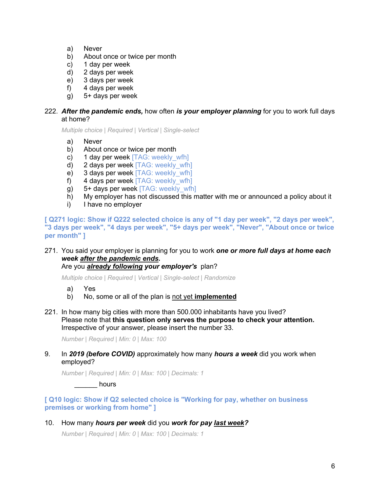- a) Never
- b) About once or twice per month
- c) 1 day per week
- d) 2 days per week
- e) 3 days per week
- f) 4 days per week
- g) 5+ days per week

### 222. *After the pandemic ends,* how often *is your employer planning* for you to work full days at home?

*Multiple choice | Required | Vertical | Single-select*

- a) Never
- b) About once or twice per month
- c) 1 day per week  $[TAG: \text{week}|y \text{ with}]$
- d) 2 days per week [TAG: weekly\_wfh]
- e) 3 days per week [TAG: weekly\_wfh]
- f) 4 days per week [TAG: weekly\_wfh]
- g) 5+ days per week [TAG: weekly\_wfh]
- h) My employer has not discussed this matter with me or announced a policy about it
- i) I have no employer

**[ Q271 logic: Show if Q222 selected choice is any of "1 day per week", "2 days per week", "3 days per week", "4 days per week", "5+ days per week", "Never", "About once or twice per month" ]**

# 271. You said your employer is planning for you to work *one or more full days at home each week after the pandemic ends.*

## Are you *already following your employer's* plan?

*Multiple choice | Required | Vertical | Single-select | Randomize*

- a) Yes
- b) No, some or all of the plan is not yet **implemented**
- 221. In how many big cities with more than 500.000 inhabitants have you lived? Please note that **this question only serves the purpose to check your attention.** Irrespective of your answer, please insert the number 33.

*Number | Required | Min: 0 | Max: 100*

### 9. In *2019 (before COVID)* approximately how many *hours a week* did you work when employed?

*Number | Required | Min: 0 | Max: 100 | Decimals: 1*

de thours

**[ Q10 logic: Show if Q2 selected choice is "Working for pay, whether on business premises or working from home" ]**

### 10. How many *hours per week* did you *work for pay last week?*

*Number | Required | Min: 0 | Max: 100 | Decimals: 1*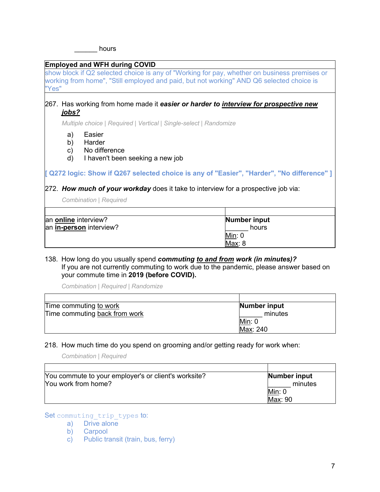hours

### **Employed and WFH during COVID**

show block if Q2 selected choice is any of "Working for pay, whether on business premises or working from home", "Still employed and paid, but not working" AND Q6 selected choice is "Yes"

### 267. Has working from home made it *easier or harder to interview for prospective new jobs?*

*Multiple choice | Required | Vertical | Single-select | Randomize*

- a) Easier
- b) Harder
- c) No difference
- d) I haven't been seeking a new job

**[ Q272 logic: Show if Q267 selected choice is any of "Easier", "Harder", "No difference" ]**

### 272. *How much of your workday* does it take to interview for a prospective job via:

*Combination | Required*

| an online interview?    | Number input |
|-------------------------|--------------|
| an in-person interview? | hours        |
|                         | Min: 0       |
|                         | Max: 8       |

### 138. How long do you usually spend *commuting to and from work (in minutes)?* If you are not currently commuting to work due to the pandemic, please answer based on your commute time in **2019 (before COVID).**

*Combination | Required | Randomize*

| Time commuting to work        | Number input |
|-------------------------------|--------------|
| Time commuting back from work | minutes      |
|                               | Min: 0       |
|                               | Max: 240     |

### 218. How much time do you spend on grooming and/or getting ready for work when:

*Combination | Required*

| You commute to your employer's or client's worksite? | Number input |
|------------------------------------------------------|--------------|
| Nou work from home?                                  | minutes      |
|                                                      | Min: 0       |
|                                                      | Max: 90      |

Set commuting trip types to:

a) Drive alone

b) Carpool

c) Public transit (train, bus, ferry)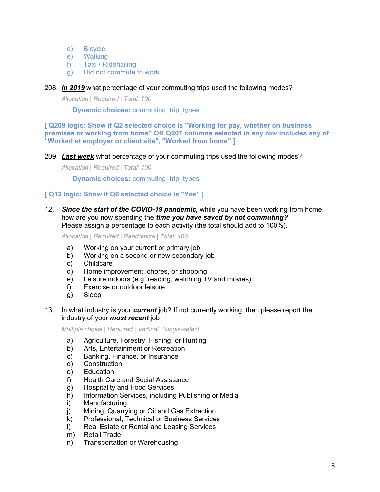- d) Bicycle
- e) Walking
- f) Taxi / Ridehailing
- g) Did not commute to work

### 208. *In 2019* what percentage of your commuting trips used the following modes?

*Allocation | Required | Total: 100*

**Dynamic choices:** commuting trip types

**[ Q209 logic: Show if Q2 selected choice is "Working for pay, whether on business premises or working from home" OR Q207 columns selected in any row includes any of "Worked at employer or client site", "Worked from home" ]**

### 209. *Last week* what percentage of your commuting trips used the following modes?

*Allocation | Required | Total: 100*

**Dynamic choices:** commuting trip types

### **[ Q12 logic: Show if Q6 selected choice is "Yes" ]**

12. *Since the start of the COVID-19 pandemic,* while you have been working from home, how are you now spending the *time you have saved by not commuting?* Please assign a percentage to each activity (the total should add to 100%).

*Allocation | Required | Randomize | Total: 100*

- a) Working on your current or primary job
- b) Working on a second or new secondary job
- c) Childcare
- d) Home improvement, chores, or shopping
- e) Leisure indoors (e.g. reading, watching TV and movies)
- f) Exercise or outdoor leisure
- g) Sleep

### 13. In what industry is your *current* job? If not currently working, then please report the industry of your *most recent* job

- a) Agriculture, Forestry, Fishing, or Hunting
- b) Arts, Entertainment or Recreation
- c) Banking, Finance, or Insurance
- d) Construction
- e) Education
- f) Health Care and Social Assistance
- g) Hospitality and Food Services
- h) Information Services, including Publishing or Media
- i) Manufacturing
- j) Mining, Quarrying or Oil and Gas Extraction
- k) Professional, Technical or Business Services
- l) Real Estate or Rental and Leasing Services
- m) Retail Trade
- n) Transportation or Warehousing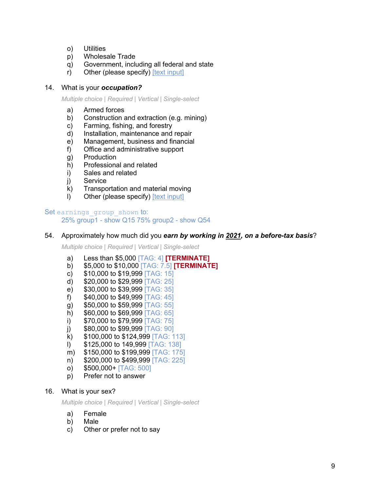- o) Utilities
- p) Wholesale Trade
- q) Government, including all federal and state
- r) Other (please specify) [text input]

### 14. What is your *occupation?*

*Multiple choice | Required | Vertical | Single-select*

- a) Armed forces
- b) Construction and extraction (e.g. mining)
- c) Farming, fishing, and forestry
- d) Installation, maintenance and repair
- e) Management, business and financial
- f) Office and administrative support
- g) Production
- h) Professional and related
- i) Sales and related
- j) Service
- k) Transportation and material moving
- l) Other (please specify) [text input]

#### Set earnings group shown to: 25% group1 - show Q15 75% group2 - show Q54

### 54. Approximately how much did you *earn by working in 2021, on a before-tax basis*?

*Multiple choice | Required | Vertical | Single-select*

- a) Less than \$5,000 [TAG: 4] **[TERMINATE]**
- b) \$5,000 to \$10,000 [TAG: 7.5] **[TERMINATE]**
- c)  $$10,000$  to  $$19,999$   $[TAG: 15]$
- d) \$20,000 to \$29,999 [TAG: 25]
- e) \$30,000 to \$39,999 [TAG: 35]
- f)  $$40,000$  to  $$49,999$  [TAG: 45]
- g) \$50,000 to \$59,999 [TAG: 55]
- h) \$60,000 to \$69,999 [TAG: 65]
- i)  $$70,000$  to  $$79,999$   $[TAG: 75]$
- j)  $$80,000$  to  $$99,999$   $[TAG: 90]$
- 
- k) \$100,000 to \$124,999 [TAG: 113]
- l) \$125,000 to 149,999 [TAG: 138]
- m) \$150,000 to \$199,999 [TAG: 175]
- n) \$200,000 to \$499,999 [TAG: 225]
- o) \$500,000+ [TAG: 500]
- p) Prefer not to answer

### 16. What is your sex?

- a) Female
- b) Male
- c) Other or prefer not to say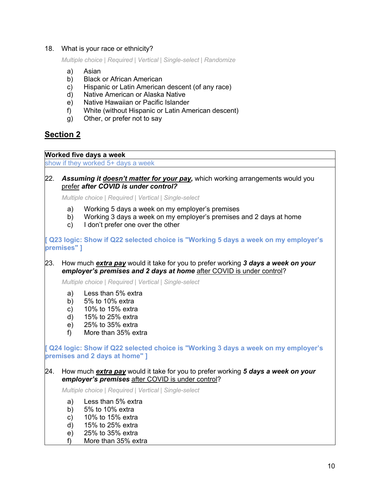### 18. What is your race or ethnicity?

*Multiple choice | Required | Vertical | Single-select | Randomize*

- a) Asian
- b) Black or African American
- c) Hispanic or Latin American descent (of any race)
- d) Native American or Alaska Native
- e) Native Hawaiian or Pacific Islander
- f) White (without Hispanic or Latin American descent)
- g) Other, or prefer not to say

# **Section 2**

**Worked five days a week**

show if they worked 5+ days a week

### 22. *Assuming it doesn't matter for your pay,* which working arrangements would you prefer *after COVID is under control?*

*Multiple choice | Required | Vertical | Single-select*

- a) Working 5 days a week on my employer's premises
- b) Working 3 days a week on my employer's premises and 2 days at home
- c) I don't prefer one over the other

**[ Q23 logic: Show if Q22 selected choice is "Working 5 days a week on my employer's premises" ]**

23. How much *extra pay* would it take for you to prefer working *3 days a week on your employer's premises and 2 days at home after COVID is under control?* 

*Multiple choice | Required | Vertical | Single-select*

- a) Less than 5% extra
- b) 5% to 10% extra
- c) 10% to 15% extra
- d) 15% to 25% extra
- e) 25% to 35% extra
- f) More than 35% extra

**[ Q24 logic: Show if Q22 selected choice is "Working 3 days a week on my employer's premises and 2 days at home" ]**

### 24. How much *extra pay* would it take for you to prefer working *5 days a week on your employer's premises* after COVID is under control?

- a) Less than 5% extra
- b) 5% to 10% extra
- c) 10% to 15% extra
- d) 15% to 25% extra
- e) 25% to 35% extra
- f) More than 35% extra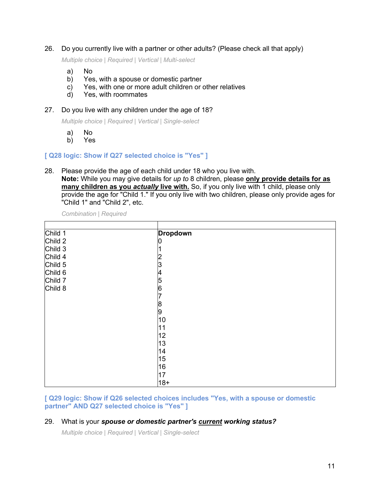26. Do you currently live with a partner or other adults? (Please check all that apply)

*Multiple choice | Required | Vertical | Multi-select*

- a) No
- b) Yes, with a spouse or domestic partner
- c) Yes, with one or more adult children or other relatives
- d) Yes, with roommates
- 27. Do you live with any children under the age of 18?

*Multiple choice | Required | Vertical | Single-select*

- a) No
- b) Yes

**[ Q28 logic: Show if Q27 selected choice is "Yes" ]**

28. Please provide the age of each child under 18 who you live with. **Note:** While you may give details for *up to* 8 children, please **only provide details for as many children as you** *actually* **live with.** So, if you only live with 1 child, please only

provide the age for "Child 1." If you only live with two children, please only provide ages for "Child 1" and "Child 2", etc.

*Combination | Required*

| Child 1 | <b>Dropdown</b> |
|---------|-----------------|
| Child 2 | υ               |
| Child 3 |                 |
| Child 4 |                 |
| Child 5 | 3               |
| Child 6 | 4               |
| Child 7 | 5               |
| Child 8 | 6               |
|         |                 |
|         | 8               |
|         | 9               |
|         | 10              |
|         | 11              |
|         | 12              |
|         | 13              |
|         | 14              |
|         | 15              |
|         | 16              |
|         | 17              |
|         | $18+$           |

**[ Q29 logic: Show if Q26 selected choices includes "Yes, with a spouse or domestic partner" AND Q27 selected choice is "Yes" ]**

### 29. What is your *spouse or domestic partner's current working status?*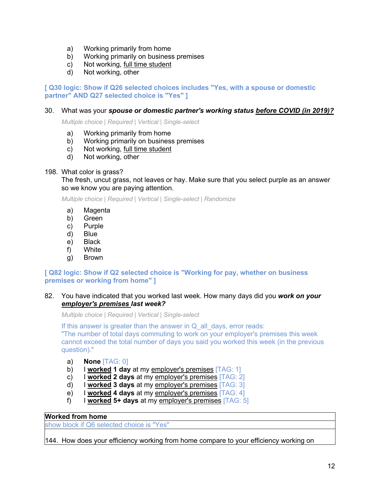- a) Working primarily from home
- b) Working primarily on business premises
- c) Not working, full time student
- d) Not working, other

### **[ Q30 logic: Show if Q26 selected choices includes "Yes, with a spouse or domestic partner" AND Q27 selected choice is "Yes" ]**

### 30. What was your *spouse or domestic partner's working status before COVID (in 2019)?*

*Multiple choice | Required | Vertical | Single-select*

- a) Working primarily from home
- b) Working primarily on business premises
- c) Not working, full time student
- d) Not working, other

### 198. What color is grass?

The fresh, uncut grass, not leaves or hay. Make sure that you select purple as an answer so we know you are paying attention.

*Multiple choice | Required | Vertical | Single-select | Randomize*

- a) Magenta
- b) Green
- c) Purple
- d) Blue
- e) Black
- f) White
- g) Brown

### **[ Q82 logic: Show if Q2 selected choice is "Working for pay, whether on business premises or working from home" ]**

### 82. You have indicated that you worked last week. How many days did you *work on your employer's premises last week?*

*Multiple choice | Required | Vertical | Single-select*

If this answer is greater than the answer in  $Q$  all days, error reads: "The number of total days commuting to work on your employer's premises this week

cannot exceed the total number of days you said you worked this week (in the previous question)."

- a) **None** [TAG: 0]
- b) I **worked 1 day** at my employer's premises [TAG: 1]
- c) I **worked 2 days** at my employer's premises [TAG: 2]
- d) I **worked 3 days** at my employer's premises [TAG: 3]
- e) I **worked 4 days** at my employer's premises [TAG: 4]
- f) I **worked 5+ days** at my employer's premises [TAG: 5]

### **Worked from home**

show block if Q6 selected choice is "Yes"

144. How does your efficiency working from home compare to your efficiency working on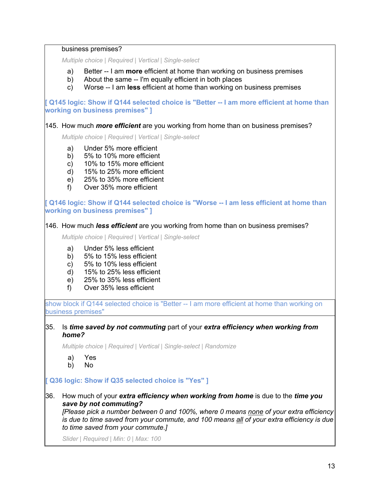business premises?

*Multiple choice | Required | Vertical | Single-select*

- a) Better -- I am **more** efficient at home than working on business premises
- b) About the same -- I'm equally efficient in both places
- c) Worse -- I am **less** efficient at home than working on business premises

**[ Q145 logic: Show if Q144 selected choice is "Better -- I am more efficient at home than working on business premises" ]**

145. How much *more efficient* are you working from home than on business premises?

*Multiple choice | Required | Vertical | Single-select*

- a) Under 5% more efficient
- b) 5% to 10% more efficient
- c) 10% to 15% more efficient
- d) 15% to 25% more efficient
- e) 25% to 35% more efficient
- f) Over 35% more efficient

**[ Q146 logic: Show if Q144 selected choice is "Worse -- I am less efficient at home than working on business premises" ]**

146. How much *less efficient* are you working from home than on business premises?

*Multiple choice | Required | Vertical | Single-select*

- a) Under 5% less efficient
- b) 5% to 15% less efficient
- c) 5% to 10% less efficient
- d) 15% to 25% less efficient
- e) 25% to 35% less efficient
- f) Over 35% less efficient

show block if Q144 selected choice is "Better -- I am more efficient at home than working on business premises"

35. Is *time saved by not commuting* part of your *extra efficiency when working from home?*

*Multiple choice | Required | Vertical | Single-select | Randomize*

- a) Yes
- b) No

**[ Q36 logic: Show if Q35 selected choice is "Yes" ]**

36. How much of your *extra efficiency when working from home* is due to the *time you save by not commuting?* 

*[Please pick a number between 0 and 100%, where 0 means none of your extra efficiency is due to time saved from your commute, and 100 means all of your extra efficiency is due to time saved from your commute.]*

*Slider | Required | Min: 0 | Max: 100*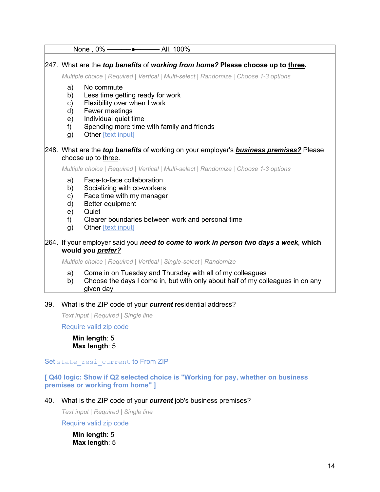|                                        | None, $0\%$ ————————————————————<br>- All, 100%                                                                                                                                                                      |
|----------------------------------------|----------------------------------------------------------------------------------------------------------------------------------------------------------------------------------------------------------------------|
|                                        | 247. What are the <i>top benefits</i> of working from home? Please choose up to three.<br>Multiple choice   Required   Vertical   Multi-select   Randomize   Choose 1-3 options                                      |
| a)<br>b)<br>c)<br>d)<br>e)<br>f)<br>g) | No commute<br>Less time getting ready for work<br>Flexibility over when I work<br>Fewer meetings<br>Individual quiet time<br>Spending more time with family and friends<br>Other [text input]                        |
|                                        | 248. What are the <i>top benefits</i> of working on your employer's <b>business premises?</b> Please<br>choose up to three.<br>Multiple choice   Required   Vertical   Multi-select   Randomize   Choose 1-3 options |
| a)<br>b)<br>c)<br>d)<br>e)<br>f)<br>g) | Face-to-face collaboration<br>Socializing with co-workers<br>Face time with my manager<br>Better equipment<br>Quiet<br>Clearer boundaries between work and personal time<br>Other [text input]                       |
|                                        | 264. If your employer said you need to come to work in person two days a week, which<br>would you prefer?                                                                                                            |
|                                        | Multiple choice   Required   Vertical   Single-select   Randomize                                                                                                                                                    |
| a)<br>b)                               | Come in on Tuesday and Thursday with all of my colleagues<br>Choose the days I come in, but with only about half of my colleagues in on any                                                                          |

given day

### 39. What is the ZIP code of your *current* residential address?

*Text input | Required | Single line*

Require valid zip code

**Min length**: 5 **Max length**: 5

Set state resi current to From ZIP

**[ Q40 logic: Show if Q2 selected choice is "Working for pay, whether on business premises or working from home" ]**

40. What is the ZIP code of your *current* job's business premises?

*Text input | Required | Single line*

Require valid zip code

**Min length**: 5 **Max length**: 5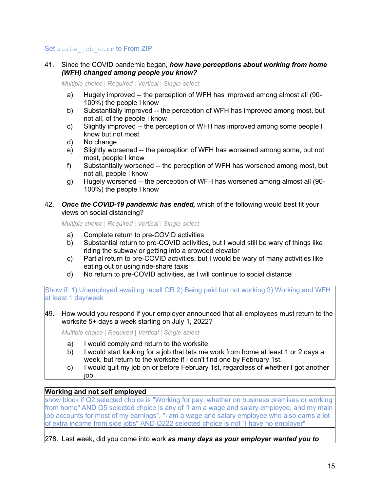### Set state job curr to From ZIP

41. Since the COVID pandemic began, *how have perceptions about working from home (WFH) changed among people you know?*

*Multiple choice | Required | Vertical | Single-select*

- a) Hugely improved -- the perception of WFH has improved among almost all (90- 100%) the people I know
- b) Substantially improved -- the perception of WFH has improved among most, but not all, of the people I know
- c) Slightly improved -- the perception of WFH has improved among some people I know but not most
- d) No change
- e) Slightly worsened -- the perception of WFH has worsened among some, but not most, people I know
- f) Substantially worsened -- the perception of WFH has worsened among most, but not all, people I know
- g) Hugely worsened -- the perception of WFH has worsened among almost all (90- 100%) the people I know
- 42. *Once the COVID-19 pandemic has ended,* which of the following would best fit your views on social distancing?

*Multiple choice | Required | Vertical | Single-select*

- a) Complete return to pre-COVID activities
- b) Substantial return to pre-COVID activities, but I would still be wary of things like riding the subway or getting into a crowded elevator
- c) Partial return to pre-COVID activities, but I would be wary of many activities like eating out or using ride-share taxis
- d) No return to pre-COVID activities, as I will continue to social distance

Show if: 1) Unemployed awaiting recall OR 2) Being paid but not working 3) Working and WFH at least 1 day/week

49. How would you respond if your employer announced that all employees must return to the worksite 5+ days a week starting on July 1, 2022?

*Multiple choice | Required | Vertical | Single-select*

- a) I would comply and return to the worksite
- b) I would start looking for a job that lets me work from home at least 1 or 2 days a week, but return to the worksite if I don't find one by February 1st.
- c) I would quit my job on or before February 1st, regardless of whether I got another job.

### **Working and not self employed**

show block if Q2 selected choice is "Working for pay, whether on business premises or working from home" AND Q5 selected choice is any of "I am a wage and salary employee, and my main job accounts for most of my earnings", "I am a wage and salary employee who also earns a lot of extra income from side jobs" AND Q222 selected choice is not "I have no employer"

278. Last week, did you come into work *as many days as your employer wanted you to*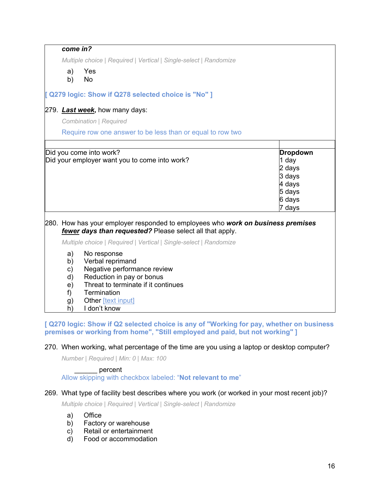| come in?                                     |                                                                                                                                                                                         |                                                                                      |
|----------------------------------------------|-----------------------------------------------------------------------------------------------------------------------------------------------------------------------------------------|--------------------------------------------------------------------------------------|
|                                              | Multiple choice   Required   Vertical   Single-select   Randomize                                                                                                                       |                                                                                      |
| a)<br>b)                                     | Yes<br>No                                                                                                                                                                               |                                                                                      |
|                                              | [ Q279 logic: Show if Q278 selected choice is "No" ]                                                                                                                                    |                                                                                      |
|                                              | 279. Last week, how many days:                                                                                                                                                          |                                                                                      |
|                                              | <b>Combination   Required</b>                                                                                                                                                           |                                                                                      |
|                                              | Require row one answer to be less than or equal to row two                                                                                                                              |                                                                                      |
|                                              |                                                                                                                                                                                         |                                                                                      |
|                                              | Did you come into work?<br>Did your employer want you to come into work?                                                                                                                | <b>Dropdown</b><br>1 day<br>2 days<br>3 days<br>4 days<br>5 days<br>6 days<br>7 days |
|                                              | 280. How has your employer responded to employees who work on business premises<br>fewer days than requested? Please select all that apply.                                             |                                                                                      |
|                                              | Multiple choice   Required   Vertical   Single-select   Randomize                                                                                                                       |                                                                                      |
| a)<br>b)<br>c)<br>d)<br>e)<br>f)<br>g)<br>h) | No response<br>Verbal reprimand<br>Negative performance review<br>Reduction in pay or bonus<br>Threat to terminate if it continues<br>Termination<br>Other [text input]<br>I don't know |                                                                                      |

**[ Q270 logic: Show if Q2 selected choice is any of "Working for pay, whether on business premises or working from home", "Still employed and paid, but not working" ]**

### 270. When working, what percentage of the time are you using a laptop or desktop computer?

*Number | Required | Min: 0 | Max: 100*

### \_\_\_\_\_\_ percent

Allow skipping with checkbox labeled: "**Not relevant to me**"

### 269. What type of facility best describes where you work (or worked in your most recent job)?

*Multiple choice | Required | Vertical | Single-select | Randomize*

- a) Office
- b) Factory or warehouse
- c) Retail or entertainment
- d) Food or accommodation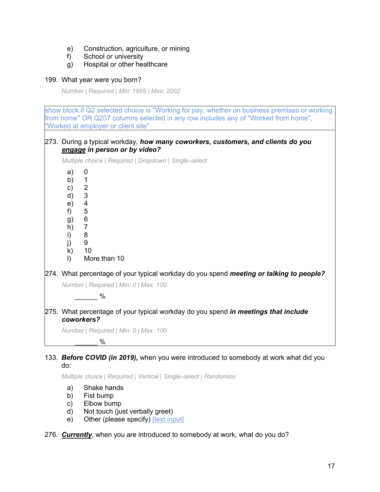- e) Construction, agriculture, or mining
- f) School or university
- g) Hospital or other healthcare

### 199. What year were you born?

*Number | Required | Min: 1955 | Max: 2002*

show block if Q2 selected choice is "Working for pay, whether on business premises or working from home" OR Q207 columns selected in any row includes any of "Worked from home", "Worked at employer or client site" 273. During a typical workday, *how many coworkers, customers, and clients do you engage in person or by video? Multiple choice | Required | Dropdown | Single-select* a) 0 b) 1 c) 2 d) 3 e) 4 f) 5 g) 6  $h)$ i) 8 j) 9 k) 10 l) More than 10 274. What percentage of your typical workday do you spend *meeting or talking to people? Number | Required | Min: 0 | Max: 100*  $\%$ 275. What percentage of your typical workday do you spend *in meetings that include coworkers? Number | Required | Min: 0 | Max: 100*  $\%$ 

### 133. *Before COVID (in 2019),* when you were introduced to somebody at work what did you do:

*Multiple choice | Required | Vertical | Single-select | Randomize*

- a) Shake hands
- b) Fist bump
- c) Elbow bump
- d) Not touch (just verbally greet)
- e) Other (please specify) [text input]

276. *Currently*, when you are introduced to somebody at work, what do you do?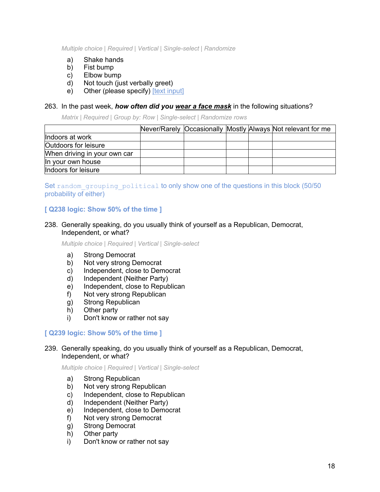*Multiple choice | Required | Vertical | Single-select | Randomize*

- a) Shake hands
- b) Fist bump
- c) Elbow bump
- d) Not touch (just verbally greet)
- e) Other (please specify) [text input]

### 263. In the past week, *how often did you wear a face mask* in the following situations?

*Matrix | Required | Group by: Row | Single-select | Randomize rows*

|                              |  |  | Never/Rarely Occasionally Mostly Always Not relevant for me |
|------------------------------|--|--|-------------------------------------------------------------|
| Indoors at work              |  |  |                                                             |
| <b>Outdoors for leisure</b>  |  |  |                                                             |
| When driving in your own car |  |  |                                                             |
| In your own house            |  |  |                                                             |
| Indoors for leisure          |  |  |                                                             |

### Set random grouping political to only show one of the questions in this block (50/50 probability of either)

### **[ Q238 logic: Show 50% of the time ]**

### 238. Generally speaking, do you usually think of yourself as a Republican, Democrat, Independent, or what?

*Multiple choice | Required | Vertical | Single-select*

- a) Strong Democrat
- b) Not very strong Democrat
- c) Independent, close to Democrat
- d) Independent (Neither Party)
- e) Independent, close to Republican
- f) Not very strong Republican
- g) Strong Republican
- 
- h) Other party<br>i) Don't know Don't know or rather not say

### **[ Q239 logic: Show 50% of the time ]**

### 239. Generally speaking, do you usually think of yourself as a Republican, Democrat, Independent, or what?

- a) Strong Republican
- b) Not very strong Republican
- c) Independent, close to Republican
- d) Independent (Neither Party)
- e) Independent, close to Democrat
- f) Not very strong Democrat
- g) Strong Democrat
- h) Other party
- i) Don't know or rather not say